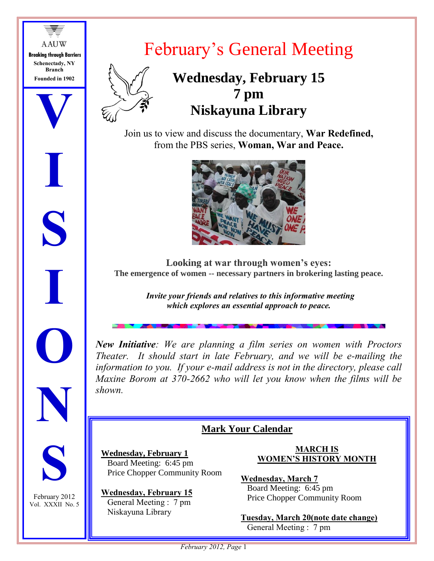**A AUW Breaking through Barriers Schenectady, NY Branch Founded in 1902**

**V**

**I**

**S**

**I**

**O**

**N**

**S**

February 2012 Vol. XXXII No. 5



## February's General Meeting

## **Wednesday, February 15 7 pm Niskayuna Library**

Join us to view and discuss the documentary, **War Redefined,** from the PBS series, **Woman, War and Peace.**



**Looking at war through women's eyes: The emergence of women -- necessary partners in brokering lasting peace.**

> *Invite your friends and relatives to this informative meeting which explores an essential approach to peace.*

*New Initiative: We are planning a film series on women with Proctors Theater. It should start in late February, and we will be e-mailing the information to you. If your e-mail address is not in the directory, please call Maxine Borom at 370-2662 who will let you know when the films will be shown.*

## **Mark Your Calendar**

**Wednesday, February 1** Board Meeting: 6:45 pm Price Chopper Community Room

**Wednesday, February 15** General Meeting : 7 pm Niskayuna Library

#### **MARCH IS WOMEN'S HISTORY MONTH**

**Wednesday, March 7** Board Meeting: 6:45 pm Price Chopper Community Room

**Tuesday, March 20(note date change)** General Meeting : 7 pm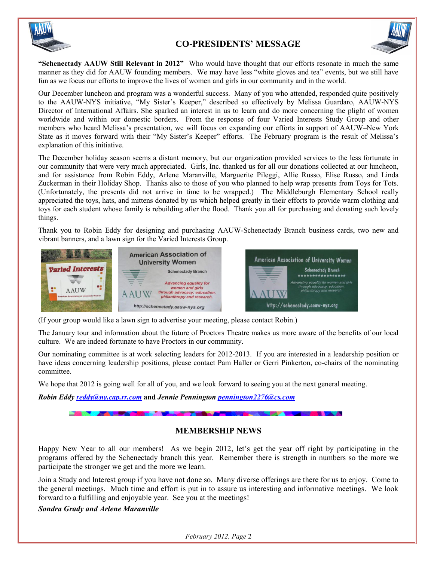

#### **CO-PRESIDENTS' MESSAGE**



**"Schenectady AAUW Still Relevant in 2012"** Who would have thought that our efforts resonate in much the same manner as they did for AAUW founding members. We may have less "white gloves and tea" events, but we still have fun as we focus our efforts to improve the lives of women and girls in our community and in the world.

Our December luncheon and program was a wonderful success. Many of you who attended, responded quite positively to the AAUW-NYS initiative, "My Sister's Keeper," described so effectively by Melissa Guardaro, AAUW-NYS Director of International Affairs. She sparked an interest in us to learn and do more concerning the plight of women worldwide and within our domestic borders. From the response of four Varied Interests Study Group and other members who heard Melissa's presentation, we will focus on expanding our efforts in support of AAUW–New York State as it moves forward with their "My Sister's Keeper" efforts. The February program is the result of Melissa's explanation of this initiative.

The December holiday season seems a distant memory, but our organization provided services to the less fortunate in our community that were very much appreciated. Girls, Inc. thanked us for all our donations collected at our luncheon, and for assistance from Robin Eddy, Arlene Maranville, Marguerite Pileggi, Allie Russo, Elise Russo, and Linda Zuckerman in their Holiday Shop. Thanks also to those of you who planned to help wrap presents from Toys for Tots. (Unfortunately, the presents did not arrive in time to be wrapped.) The Middleburgh Elementary School really appreciated the toys, hats, and mittens donated by us which helped greatly in their efforts to provide warm clothing and toys for each student whose family is rebuilding after the flood. Thank you all for purchasing and donating such lovely things.

Thank you to Robin Eddy for designing and purchasing AAUW-Schenectady Branch business cards, two new and vibrant banners, and a lawn sign for the Varied Interests Group.



(If your group would like a lawn sign to advertise your meeting, please contact Robin.)

The January tour and information about the future of Proctors Theatre makes us more aware of the benefits of our local culture. We are indeed fortunate to have Proctors in our community.

Our nominating committee is at work selecting leaders for 2012-2013. If you are interested in a leadership position or have ideas concerning leadership positions, please contact Pam Haller or Gerri Pinkerton, co-chairs of the nominating committee.

We hope that 2012 is going well for all of you, and we look forward to seeing you at the next general meeting.

**ALCOHOL:** 

*Robin Eddy [reddy@ny.cap.rr.com](mailto:reddy@ny.cap.rr.com)* **and** *Jennie Pennington [pennington2276@cs.com](mailto:pennington2276@cs.com)*

#### **MEMBERSHIP NEWS**

Happy New Year to all our members! As we begin 2012, let's get the year off right by participating in the programs offered by the Schenectady branch this year. Remember there is strength in numbers so the more we participate the stronger we get and the more we learn.

Join a Study and Interest group if you have not done so. Many diverse offerings are there for us to enjoy. Come to the general meetings. Much time and effort is put in to assure us interesting and informative meetings. We look forward to a fulfilling and enjoyable year. See you at the meetings!

*Sondra Grady and Arlene Maranville*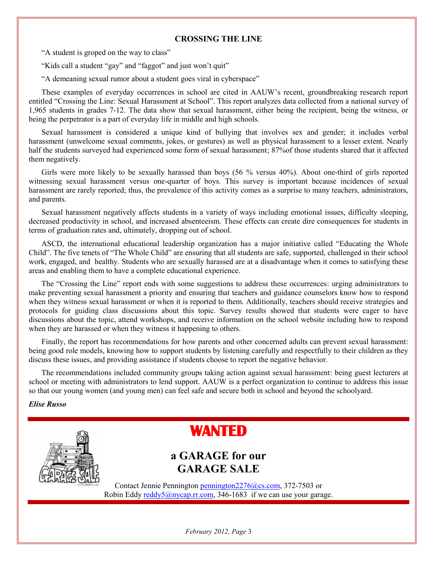#### **CROSSING THE LINE**

"A student is groped on the way to class"

"Kids call a student "gay" and "faggot" and just won't quit"

"A demeaning sexual rumor about a student goes viral in cyberspace"

These examples of everyday occurrences in school are cited in AAUW's recent, groundbreaking research report entitled "Crossing the Line: Sexual Harassment at School". This report analyzes data collected from a national survey of 1,965 students in grades 7-12. The data show that sexual harassment, either being the recipient, being the witness, or being the perpetrator is a part of everyday life in middle and high schools.

Sexual harassment is considered a unique kind of bullying that involves sex and gender; it includes verbal harassment (unwelcome sexual comments, jokes, or gestures) as well as physical harassment to a lesser extent. Nearly half the students surveyed had experienced some form of sexual harassment; 87%of those students shared that it affected them negatively.

Girls were more likely to be sexually harassed than boys (56 % versus 40%). About one-third of girls reported witnessing sexual harassment versus one-quarter of boys. This survey is important because incidences of sexual harassment are rarely reported; thus, the prevalence of this activity comes as a surprise to many teachers, administrators, and parents.

Sexual harassment negatively affects students in a variety of ways including emotional issues, difficulty sleeping, decreased productivity in school, and increased absenteeism. These effects can create dire consequences for students in terms of graduation rates and, ultimately, dropping out of school.

ASCD, the international educational leadership organization has a major initiative called "Educating the Whole Child". The five tenets of "The Whole Child" are ensuring that all students are safe, supported, challenged in their school work, engaged, and healthy. Students who are sexually harassed are at a disadvantage when it comes to satisfying these areas and enabling them to have a complete educational experience.

The "Crossing the Line" report ends with some suggestions to address these occurrences: urging administrators to make preventing sexual harassment a priority and ensuring that teachers and guidance counselors know how to respond when they witness sexual harassment or when it is reported to them. Additionally, teachers should receive strategies and protocols for guiding class discussions about this topic. Survey results showed that students were eager to have discussions about the topic, attend workshops, and receive information on the school website including how to respond when they are harassed or when they witness it happening to others.

Finally, the report has recommendations for how parents and other concerned adults can prevent sexual harassment: being good role models, knowing how to support students by listening carefully and respectfully to their children as they discuss these issues, and providing assistance if students choose to report the negative behavior.

The recommendations included community groups taking action against sexual harassment: being guest lecturers at school or meeting with administrators to lend support. AAUW is a perfect organization to continue to address this issue so that our young women (and young men) can feel safe and secure both in school and beyond the schoolyard.

#### *Elise Russo*



*February 2012, Page* 3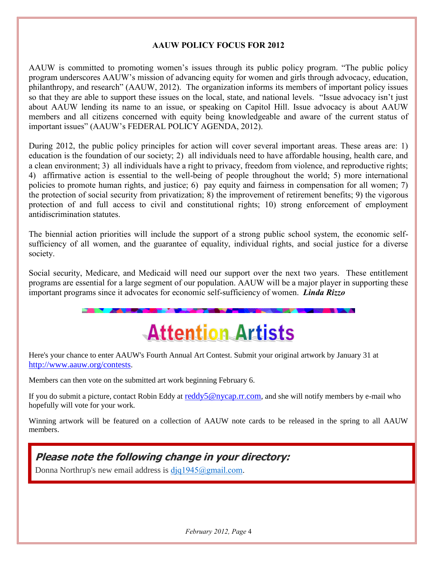#### **AAUW POLICY FOCUS FOR 2012**

AAUW is committed to promoting women's issues through its public policy program. "The public policy program underscores AAUW's mission of advancing equity for women and girls through advocacy, education, philanthropy, and research" (AAUW, 2012). The organization informs its members of important policy issues so that they are able to support these issues on the local, state, and national levels. "Issue advocacy isn't just about AAUW lending its name to an issue, or speaking on Capitol Hill. Issue advocacy is about AAUW members and all citizens concerned with equity being knowledgeable and aware of the current status of important issues" (AAUW's FEDERAL POLICY AGENDA, 2012).

During 2012, the public policy principles for action will cover several important areas. These areas are: 1) education is the foundation of our society; 2) all individuals need to have affordable housing, health care, and a clean environment; 3) all individuals have a right to privacy, freedom from violence, and reproductive rights; 4) affirmative action is essential to the well-being of people throughout the world; 5) more international policies to promote human rights, and justice; 6) pay equity and fairness in compensation for all women; 7) the protection of social security from privatization; 8) the improvement of retirement benefits; 9) the vigorous protection of and full access to civil and constitutional rights; 10) strong enforcement of employment antidiscrimination statutes.

The biennial action priorities will include the support of a strong public school system, the economic selfsufficiency of all women, and the guarantee of equality, individual rights, and social justice for a diverse society.

Social security, Medicare, and Medicaid will need our support over the next two years. These entitlement programs are essential for a large segment of our population. AAUW will be a major player in supporting these important programs since it advocates for economic self-sufficiency of women. *Linda Rizzo*

# **Attention Artists**

Here's your chance to enter AAUW's Fourth Annual Art Contest. Submit your original artwork by January 31 at <http://www.aauw.org/contests>.

Members can then vote on the submitted art work beginning February 6.

If you do submit a picture, contact Robin Eddy at [reddy5@nycap.rr.com](mailto:reddy5@nycap.rr.com), and she will notify members by e-mail who hopefully will vote for your work.

Winning artwork will be featured on a collection of AAUW note cards to be released in the spring to all AAUW members.

### **Please note the following change in your directory:**

Donna Northrup's new email address is [djq1945@gmail.com.](mailto:djq1945@gmail.com)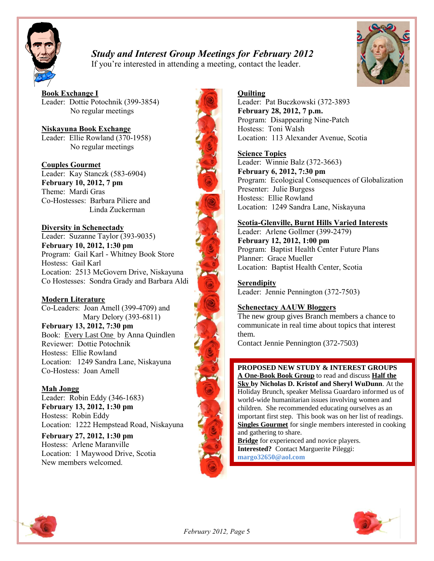

### *Study and Interest Group Meetings for February 2012*

If you're interested in attending a meeting, contact the leader.



**Book Exchange I** Leader: Dottie Potochnik (399-3854) No regular meetings

**Niskayuna Book Exchange** Leader: Ellie Rowland (370-1958) No regular meetings

#### **Couples Gourmet**

Leader: Kay Stanczk (583-6904) **February 10, 2012, 7 pm** Theme: Mardi Gras Co-Hostesses: Barbara Piliere and Linda Zuckerman

**Diversity in Schenectady** Leader: Suzanne Taylor (393-9035) **February 10, 2012, 1:30 pm** Program: Gail Karl - Whitney Book Store Hostess: Gail Karl Location: 2513 McGovern Drive, Niskayuna Co Hostesses: Sondra Grady and Barbara Aldi

#### **Modern Literature**

Co-Leaders: Joan Amell (399-4709) and Mary Delory (393-6811) **February 13, 2012, 7:30 pm** Book: Every Last One by Anna Quindlen Reviewer: Dottie Potochnik Hostess: Ellie Rowland Location: 1249 Sandra Lane, Niskayuna Co-Hostess: Joan Amell

#### **Mah Jongg**

Leader: Robin Eddy (346-1683) **February 13, 2012, 1:30 pm** Hostess: Robin Eddy Location: 1222 Hempstead Road, Niskayuna

**February 27, 2012, 1:30 pm** Hostess: Arlene Maranville Location: 1 Maywood Drive, Scotia New members welcomed.

#### **Quilting**

Leader: Pat Buczkowski (372-3893 **February 28, 2012, 7 p.m.** Program: Disappearing Nine-Patch Hostess: Toni Walsh Location: 113 Alexander Avenue, Scotia

#### **Science Topics**

Leader: Winnie Balz (372-3663) **February 6, 2012, 7:30 pm** Program: Ecological Consequences of Globalization Presenter: Julie Burgess Hostess: Ellie Rowland Location: 1249 Sandra Lane, Niskayuna

#### **Scotia-Glenville, Burnt Hills Varied Interests**

Leader: Arlene Gollmer (399-2479) **February 12, 2012, 1:00 pm** Program: Baptist Health Center Future Plans Planner: Grace Mueller Location: Baptist Health Center, Scotia

**Serendipity** Leader: Jennie Pennington (372-7503)

#### **Schenectacy AAUW Bloggers**

The new group gives Branch members a chance to communicate in real time about topics that interest them.

Contact Jennie Pennington (372-7503)

#### **PROPOSED NEW STUDY & INTEREST GROUPS**

**A One-Book Book Group** to read and discuss **Half the Sky by Nicholas D. Kristof and Sheryl WuDunn**. At the Holiday Brunch, speaker Melissa Guardaro informed us of world-wide humanitarian issues involving women and children. She recommended educating ourselves as an important first step. This book was on her list of readings. **Singles Gourmet** for single members interested in cooking and gathering to share.

**Bridge** for experienced and novice players. **Interested?** Contact Marguerite Pileggi: **margo32650@aol.com**